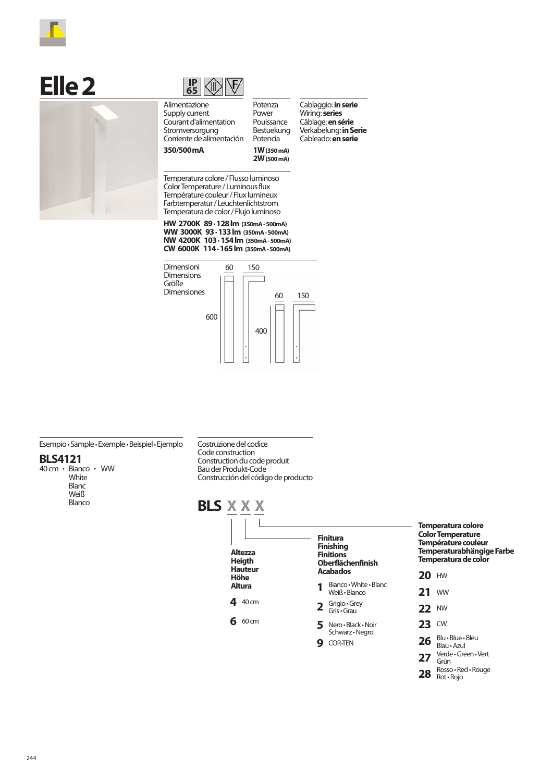

## $E$ **Ile 2**





Potenza Power Pouissance Bestuekung Potencia **1W (350 mA) 2W (500 mA)**

Alimentazione Supply current Courant d'alimentation Stromversorgung Corriente de alimentación **350/500mA**

Cablaggio: **in serie** Wiring: **series** Câblage: **en série** Verkabelung: **in Serie** Cableado: **en serie**

Temperatura colore / Flusso luminoso Color Temperature / Luminous flux Température couleur / Flux lumineux Farbtemperatur / Leuchtenlichtstrom Temperatura de color / Flujo luminoso

**HW 2700K 89**• **128 lm (350mA - 500mA) WW 3000K 93**• **133 lm (350mA - 500mA) NW 4200K 103**• **154 lm (350mA - 500mA) CW 6000K 114**• **165 lm (350mA - 500mA)**



Esempio• Sample• Exemple• Beispiel• Ejemplo

## **BLS4121**

40 cm · Bianco · WW White **Blanc** Weiß Blanco

Costruzione del codice Code construction Construction du code produit Bau der Produkt-Code Construcción del código de producto



28 Rosso · Red · Rouge